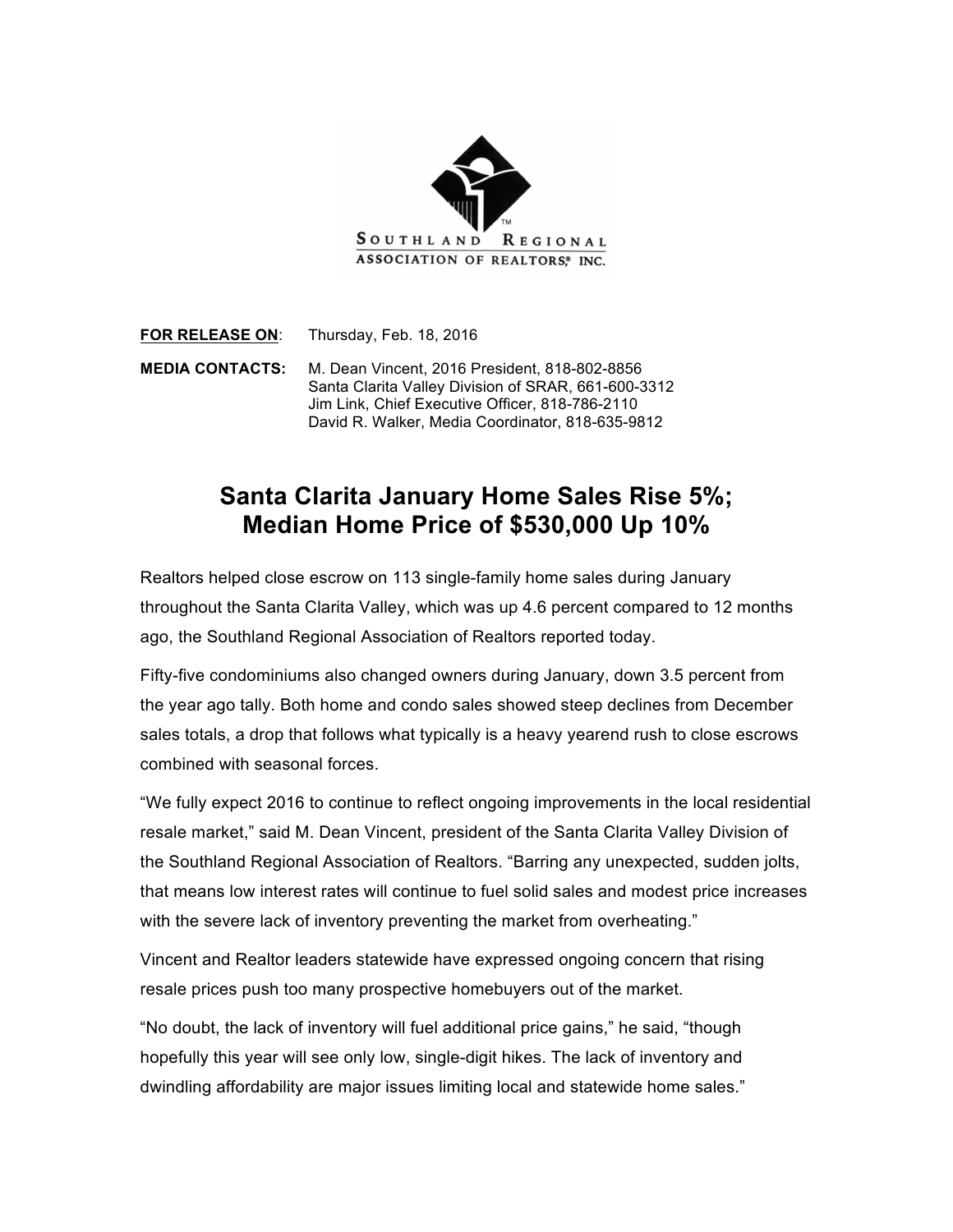

**FOR RELEASE ON**: Thursday, Feb. 18, 2016

**MEDIA CONTACTS:** M. Dean Vincent, 2016 President, 818-802-8856 Santa Clarita Valley Division of SRAR, 661-600-3312 Jim Link, Chief Executive Officer, 818-786-2110 David R. Walker, Media Coordinator, 818-635-9812

## **Santa Clarita January Home Sales Rise 5%; Median Home Price of \$530,000 Up 10%**

Realtors helped close escrow on 113 single-family home sales during January throughout the Santa Clarita Valley, which was up 4.6 percent compared to 12 months ago, the Southland Regional Association of Realtors reported today.

Fifty-five condominiums also changed owners during January, down 3.5 percent from the year ago tally. Both home and condo sales showed steep declines from December sales totals, a drop that follows what typically is a heavy yearend rush to close escrows combined with seasonal forces.

"We fully expect 2016 to continue to reflect ongoing improvements in the local residential resale market," said M. Dean Vincent, president of the Santa Clarita Valley Division of the Southland Regional Association of Realtors. "Barring any unexpected, sudden jolts, that means low interest rates will continue to fuel solid sales and modest price increases with the severe lack of inventory preventing the market from overheating."

Vincent and Realtor leaders statewide have expressed ongoing concern that rising resale prices push too many prospective homebuyers out of the market.

"No doubt, the lack of inventory will fuel additional price gains," he said, "though hopefully this year will see only low, single-digit hikes. The lack of inventory and dwindling affordability are major issues limiting local and statewide home sales."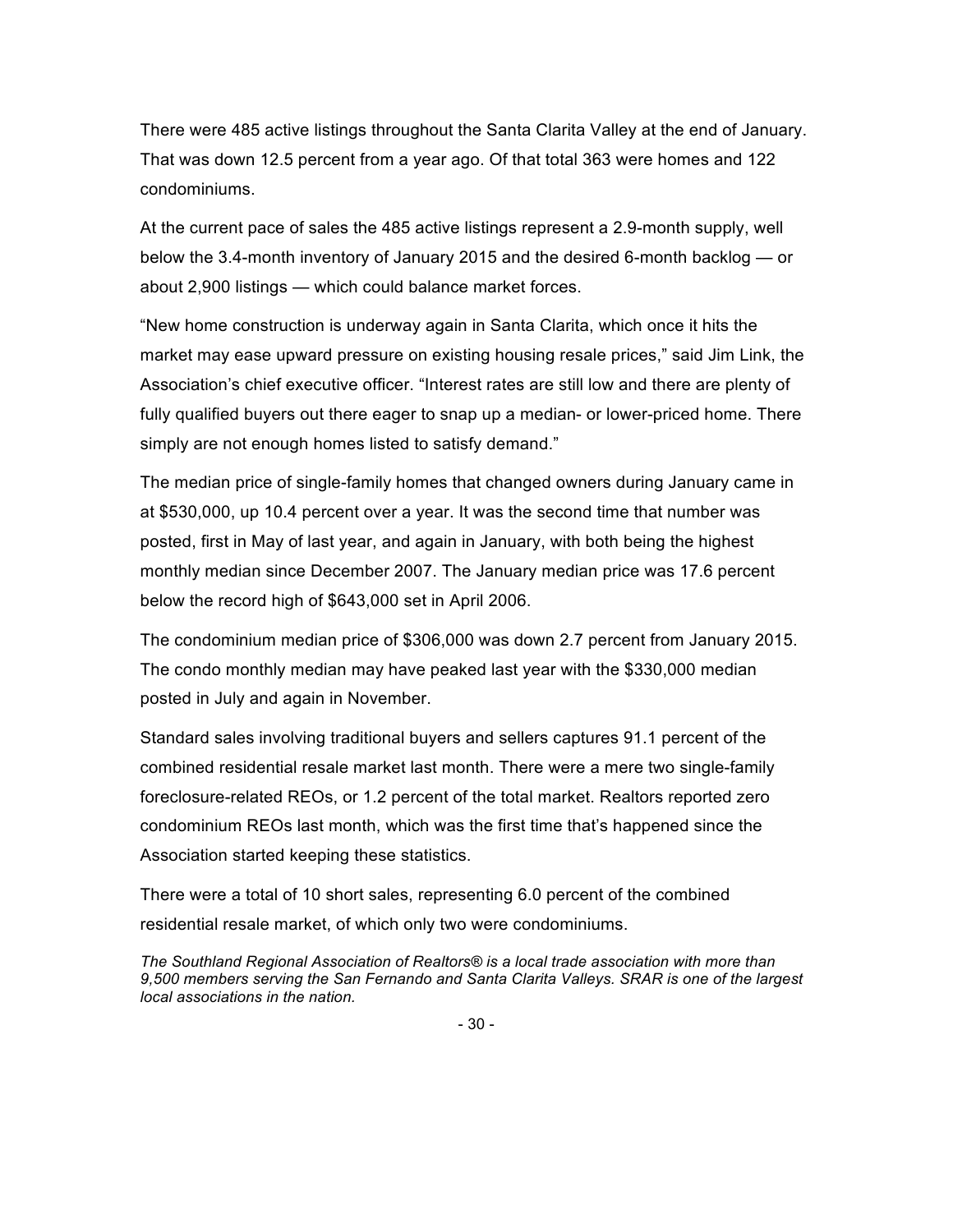There were 485 active listings throughout the Santa Clarita Valley at the end of January. That was down 12.5 percent from a year ago. Of that total 363 were homes and 122 condominiums.

At the current pace of sales the 485 active listings represent a 2.9-month supply, well below the 3.4-month inventory of January 2015 and the desired 6-month backlog — or about 2,900 listings — which could balance market forces.

"New home construction is underway again in Santa Clarita, which once it hits the market may ease upward pressure on existing housing resale prices," said Jim Link, the Association's chief executive officer. "Interest rates are still low and there are plenty of fully qualified buyers out there eager to snap up a median- or lower-priced home. There simply are not enough homes listed to satisfy demand."

The median price of single-family homes that changed owners during January came in at \$530,000, up 10.4 percent over a year. It was the second time that number was posted, first in May of last year, and again in January, with both being the highest monthly median since December 2007. The January median price was 17.6 percent below the record high of \$643,000 set in April 2006.

The condominium median price of \$306,000 was down 2.7 percent from January 2015. The condo monthly median may have peaked last year with the \$330,000 median posted in July and again in November.

Standard sales involving traditional buyers and sellers captures 91.1 percent of the combined residential resale market last month. There were a mere two single-family foreclosure-related REOs, or 1.2 percent of the total market. Realtors reported zero condominium REOs last month, which was the first time that's happened since the Association started keeping these statistics.

There were a total of 10 short sales, representing 6.0 percent of the combined residential resale market, of which only two were condominiums.

*The Southland Regional Association of Realtors® is a local trade association with more than 9,500 members serving the San Fernando and Santa Clarita Valleys. SRAR is one of the largest local associations in the nation.*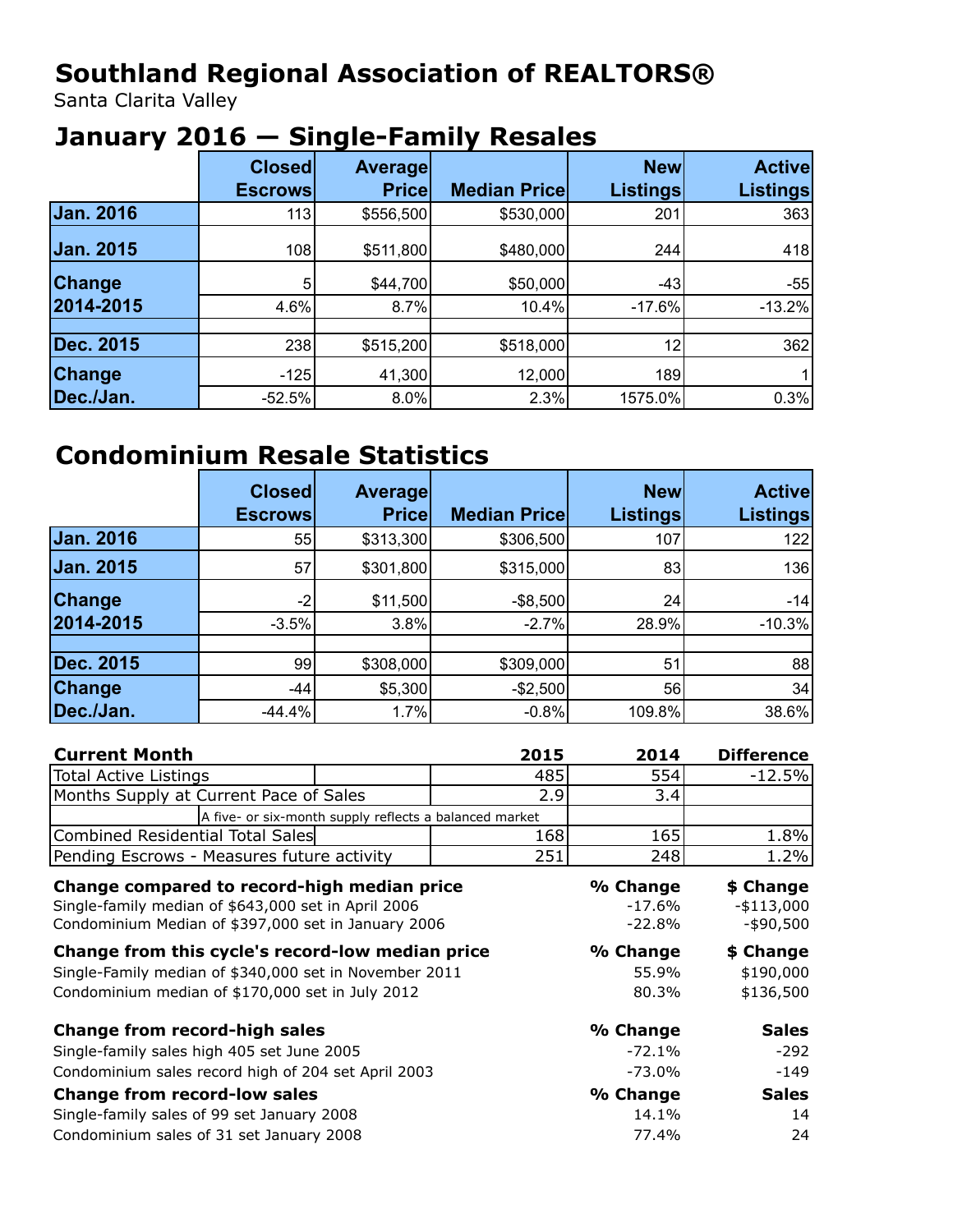# **Southland Regional Association of REALTORS®**

Santa Clarita Valley

# **January 2016 — Single-Family Resales**

|               | <b>Closed</b><br><b>Escrows</b> | <b>Average</b><br>Pricel | <b>Median Pricel</b> | <b>New</b><br><b>Listings</b> | <b>Active</b><br><b>Listings</b> |
|---------------|---------------------------------|--------------------------|----------------------|-------------------------------|----------------------------------|
| Jan. 2016     | 113                             | \$556,500                | \$530,000            | 201                           | 363                              |
| Jan. 2015     | 108                             | \$511,800                | \$480,000            | 244                           | 418                              |
| <b>Change</b> | 5                               | \$44,700                 | \$50,000             | $-43$                         | $-55$                            |
| 2014-2015     | 4.6%                            | 8.7%                     | 10.4%                | $-17.6%$                      | $-13.2%$                         |
|               |                                 |                          |                      |                               |                                  |
| Dec. 2015     | 238                             | \$515,200                | \$518,000            | 12                            | 362                              |
| <b>Change</b> | $-125$                          | 41,300                   | 12,000               | 189                           |                                  |
| Dec./Jan.     | $-52.5%$                        | $8.0\%$                  | 2.3%                 | 1575.0%                       | 0.3%                             |

# **Condominium Resale Statistics**

|                  | <b>Closed</b><br><b>Escrows</b> | <b>Average</b><br>Pricel | <b>Median Pricel</b> | <b>New</b><br><b>Listings</b> | <b>Active</b><br><b>Listings</b> |
|------------------|---------------------------------|--------------------------|----------------------|-------------------------------|----------------------------------|
| Jan. 2016        | 55                              | \$313,300                | \$306,500            | 107                           | 122                              |
| Jan. 2015        | 57                              | \$301,800                | \$315,000            | 83                            | 136                              |
| <b>Change</b>    | -2                              | \$11,500                 | $-$ \$8,500          | 24                            | $-14$                            |
| 2014-2015        | $-3.5%$                         | 3.8%                     | $-2.7%$              | 28.9%                         | $-10.3%$                         |
|                  |                                 |                          |                      |                               |                                  |
| <b>Dec. 2015</b> | 99                              | \$308,000                | \$309,000            | 51                            | 88                               |
| <b>Change</b>    | -44                             | \$5,300                  | $-$ \$2,500          | 56                            | 34                               |
| Dec./Jan.        | $-44.4%$                        | 1.7%                     | $-0.8%$              | 109.8%                        | 38.6%                            |

| <b>Current Month</b>                                   | 2015 | 2014     | <b>Difference</b> |
|--------------------------------------------------------|------|----------|-------------------|
| <b>Total Active Listings</b>                           | 485  | 554      | $-12.5%$          |
| Months Supply at Current Pace of Sales                 | 2.9  | 3.4      |                   |
| A five- or six-month supply reflects a balanced market |      |          |                   |
| Combined Residential Total Sales                       | 168  | 165      | 1.8%              |
| Pending Escrows - Measures future activity             | 251  | 248      | 1.2%              |
| Change compared to record-high median price            |      | % Change | \$ Change         |
| Single-family median of \$643,000 set in April 2006    |      | $-17.6%$ | $-$113,000$       |
| Condominium Median of \$397,000 set in January 2006    |      | $-22.8%$ | $-$ \$90,500      |
| Change from this cycle's record-low median price       |      | % Change | \$ Change         |
| Single-Family median of \$340,000 set in November 2011 |      | 55.9%    | \$190,000         |
| Condominium median of \$170,000 set in July 2012       |      | 80.3%    | \$136,500         |
| <b>Change from record-high sales</b>                   |      | % Change | <b>Sales</b>      |
| Single-family sales high 405 set June 2005             |      | $-72.1%$ | $-292$            |
| Condominium sales record high of 204 set April 2003    |      | $-73.0%$ | $-149$            |
| <b>Change from record-low sales</b>                    |      | % Change | <b>Sales</b>      |
| Single-family sales of 99 set January 2008             |      | 14.1%    | 14                |
| Condominium sales of 31 set January 2008               |      | 77.4%    | 24                |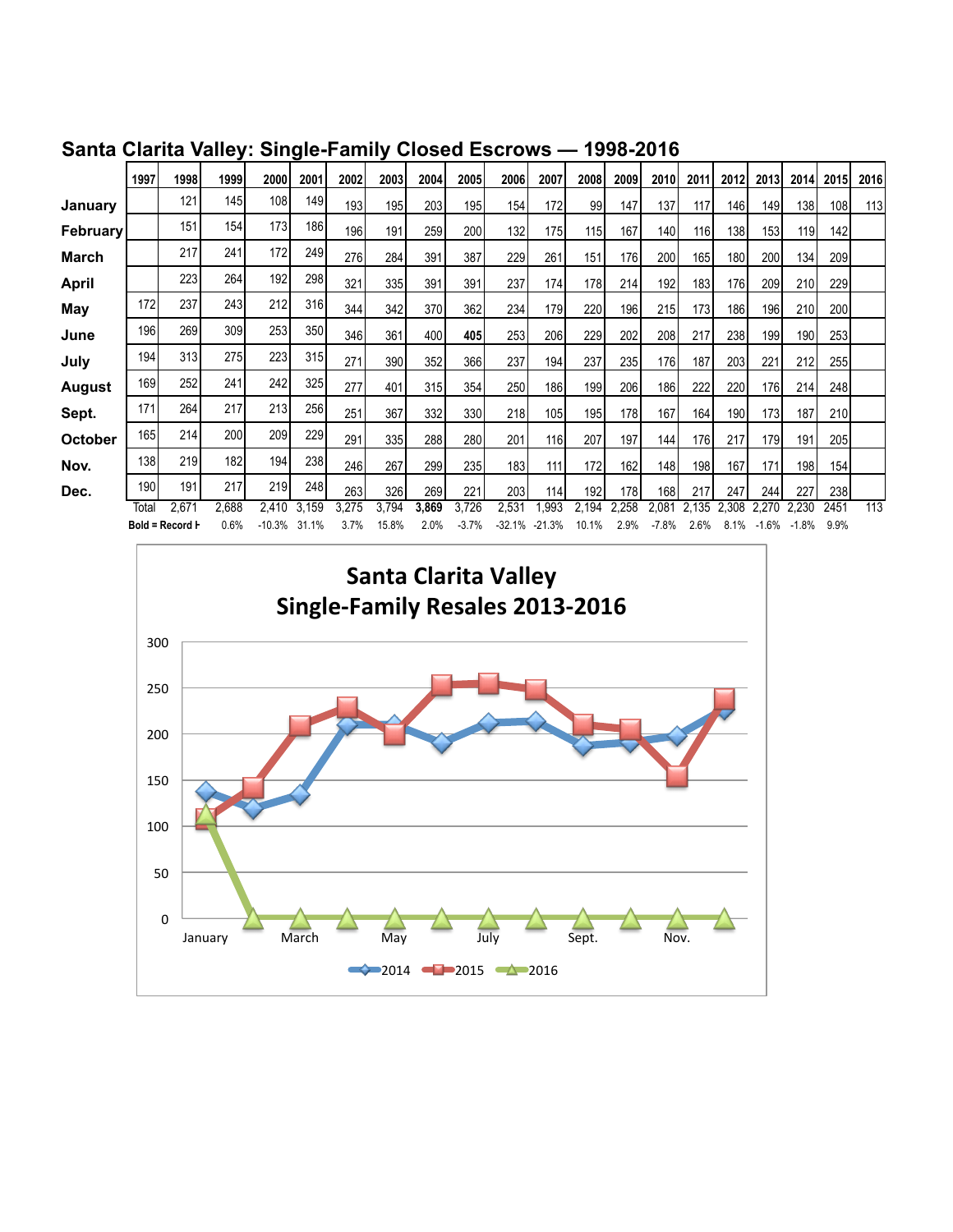|               | 1997  | 1998 l           | 1999  | 2000     | 2001  | 2002  | 2003l | 2004  | 2005    | <b>2006</b> | 2007     | 2008  | 2009  | 2010    | 2011  | 2012 | 2013    | 2014    | <b>2015</b> | 2016 |
|---------------|-------|------------------|-------|----------|-------|-------|-------|-------|---------|-------------|----------|-------|-------|---------|-------|------|---------|---------|-------------|------|
| January       |       | 121              | 145   | 108      | 149   | 193   | 195   | 203   | 195     | 154         | 172      | 99    | 147   | 137     | 117   | 146  | 149     | 138     | 108         | 113  |
| February      |       | 151              | 154   | 173      | 186   | 196   | 191   | 259   | 200     | 132         | 175      | 115   | 167   | 140     | 116   | 138  | 153     | 119     | 142         |      |
| March         |       | 217              | 241   | 172      | 249   | 276   | 284   | 391   | 387     | 229         | 261      | 151   | 176   | 200     | 165   | 180  | 200     | 134     | 209         |      |
| April         |       | 223              | 264   | 192      | 298   | 321   | 335 l | 391   | 391     | 237         | 174      | 178   | 214   | 192     | 183   | 176  | 209     | 210     | 229         |      |
| May           | 172   | 237              | 243   | 212      | 316   | 344   | 342   | 370   | 362     | 234 l       | 179      | 220   | 196   | 215     | 173   | 186  | 196     | 210     | 200         |      |
| June          | 196   | 269 I            | 309   | 253      | 350   | 346   | 361   | 400   | 405     | 253I        | 206      | 229   | 202   | 208     | 217   | 238  | 199     | 190     | 253         |      |
| July          | 194   | 313              | 275   | 223      | 315   | 271   | 390 l | 352   | 366     | 237         | 194      | 237   | 235   | 176     | 187   | 203  | 221     | 212     | 255         |      |
| <b>August</b> | 169   | 252 l            | 241   | 242      | 325   | 277   | 401   | 315   | 354     | 250I        | 186      | 199   | 206   | 186I    | 222   | 220  | 176     | 214     | 248         |      |
| Sept.         | 171   | 264              | 217   | 213      | 256   | 251   | 367   | 332   | 330     | 218         | 105      | 195   | 178   | 167     | 164   | 190  | 173     | 187     | 210         |      |
| October       | 165   | 214              | 200   | 209      | 229   | 291   | 335   | 288   | 280     | 201         | 116      | 207   | 197   | 144     | 176   | 217  | 179     | 191     | 205         |      |
| Nov.          | 138   | 219 <sub>1</sub> | 182   | 194      | 238   | 246   | 267   | 299   | 235     | 183         | 111      | 172   | 162   | 148     | 198   | 167  | 171     | 198     | 154         |      |
| Dec.          | 190   | 191              | 217   | 219      | 248   | 263   | 326   | 269   | 221     | 203 l       | 114      | 192   | 178   | 168     | 217   | 247  | 244     | 227     | 238         |      |
|               | Total | 2,671            | 2.688 | 2.410    | 3,159 | 3,275 | 3,794 | 3,869 | 3,726   | 2,531       | 993.     | 2,194 | 2.258 | 2,081   | 2.135 | .308 |         | 2.230   | 2451        | 113  |
|               |       | Bold = Record H  | 0.6%  | $-10.3%$ | 31.1% | 3.7%  | 15.8% | 2.0%  | $-3.7%$ | -32.1%      | $-21.3%$ | 10.1% | 2.9%  | $-7.8%$ | 2.6%  | 8.1% | $-1.6%$ | $-1.8%$ | 9.9%        |      |

**Santa Clarita Valley: Single-Family Closed Escrows — 1998-2016**

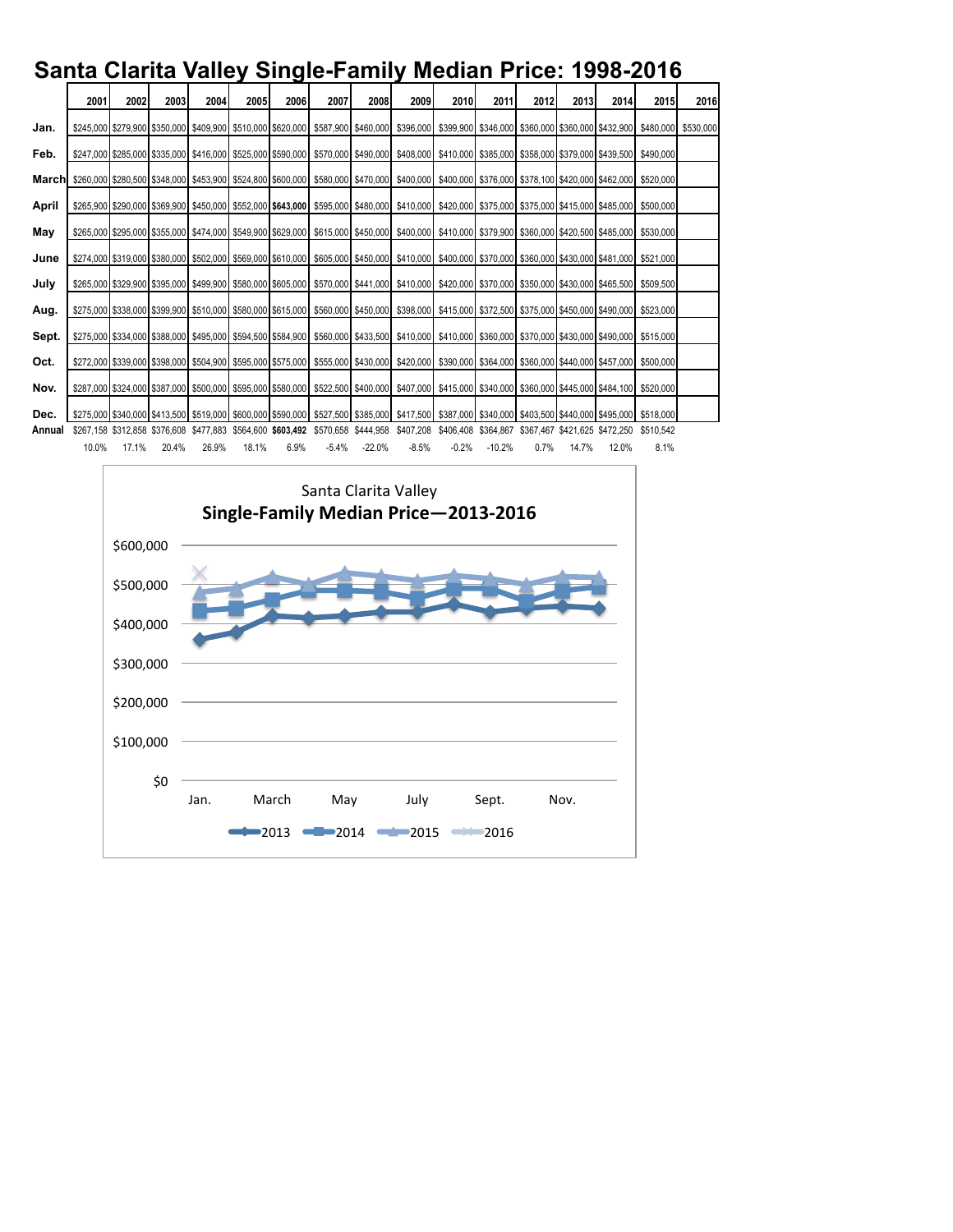## **Santa Clarita Valley Single-Family Median Price: 1998-2016**

|        | 2001  | 2002  | 2003  | 2004  | 2005  | 2006 | 2007    | 2008     | 2009                                                                                      | 2010    | 2011     | 2012 | 2013  | 2014  | 2015                                                                                                                                                                                                                                                     | 2016 |
|--------|-------|-------|-------|-------|-------|------|---------|----------|-------------------------------------------------------------------------------------------|---------|----------|------|-------|-------|----------------------------------------------------------------------------------------------------------------------------------------------------------------------------------------------------------------------------------------------------------|------|
| Jan.   |       |       |       |       |       |      |         |          |                                                                                           |         |          |      |       |       | \$245,000 \$279,900 \$350,000 \$409,900 \$510,000 \$620,000 \$587,900 \$460,000 \$396,000 \$399,900 \$346,000 \$360,000 \$360,000 \$432,900 \$432,900 \$480,000 \$530,000 \$432,900 \$530,000 \$530,000 \$500,000 \$432,900 \$432,900 \$530,000 \$500,00 |      |
| Feb.   |       |       |       |       |       |      |         |          |                                                                                           |         |          |      |       |       | \$29,000 \$235,000 \$379,000 \$416,000 \$525,000 \$590,000 \$570,000 \$490,000 \$408,000 \$410,000 \$385,000 \$358,000 \$379,000 \$439,500 \$439,500 \$410,000 \$439,500 \$439,500 \$439,500 \$439,500 \$439,500 \$439,500 \$439,500 \$439,500 \$439,500 |      |
|        |       |       |       |       |       |      |         |          |                                                                                           |         |          |      |       |       | <b>March</b> \$260,000 \$280,500 \$348,000 \$453,900 \$524,800 \$600,000 \$580,000 \$470,000 \$400,000 \$400,000 \$376,000 \$376,000 \$378,100 \$420,000 \$462,000 \$520,000 \$                                                                          |      |
|        |       |       |       |       |       |      |         |          |                                                                                           |         |          |      |       |       |                                                                                                                                                                                                                                                          |      |
| April  |       |       |       |       |       |      |         |          |                                                                                           |         |          |      |       |       | \$265,900 \$290,000 \$369,900 \$450,000 \$552,000 \$643,000 \$595,000 \$480,000 \$410,000 \$420,000 \$375,000 \$375,000 \$415,000 \$415,000 \$485,000 \$500,000                                                                                          |      |
| May    |       |       |       |       |       |      |         |          |                                                                                           |         |          |      |       |       | \$265,000 \$295,000 \$355,000 \$474,000 \$549,900 \$629,000 \$615,000 \$450,000 \$400,000 \$410,000 \$379,900 \$360,000 \$420,500 \$485,000 \$560,000 \$420,500 \$485,000 \$530,000 \$                                                                   |      |
| June   |       |       |       |       |       |      |         |          |                                                                                           |         |          |      |       |       | \$2274,000 \$319,000 \$380,000 \$502,000 \$569,000 \$610,000 \$605,000 \$450,000 \$410,000 \$400,000 \$370,000 \$360,000 \$430,000 \$481,000 \$521,000 \$521,000 \$521,000 \$521,000 \$521,000 \$521,000 \$521,000 \$521,000 \$521,000 \$521,000 \$521,0 |      |
| July   |       |       |       |       |       |      |         |          |                                                                                           |         |          |      |       |       | \$265,000 \$329,900 \$395,000 \$499,900 \$580,000 \$605,000 \$570,000 \$441,000 \$410,000 \$420,000 \$370,000 \$350,000 \$430,000 \$465,500 \$569,500                                                                                                    |      |
| Aug.   |       |       |       |       |       |      |         |          |                                                                                           |         |          |      |       |       |                                                                                                                                                                                                                                                          |      |
| Sept.  |       |       |       |       |       |      |         |          |                                                                                           |         |          |      |       |       | \$275,000 \$334,000 \$388,000 \$495,000 \$594,500 \$584,900 \$560,000 \$433,500 \$410,000 \$410,000 \$360,000 \$370,000 \$430,000 \$490,000 \$490,000 \$515,000                                                                                          |      |
| Oct.   |       |       |       |       |       |      |         |          |                                                                                           |         |          |      |       |       | \$272,000 \$339,000 \$398,000 \$504,900 \$595,000 \$575,000 \$555,000 \$430,000 \$420,000 \$390,000 \$364,000 \$360,000 \$440,000 \$457,000 \$560,000 \$                                                                                                 |      |
| Nov.   |       |       |       |       |       |      |         |          |                                                                                           |         |          |      |       |       | \$287,000 \$324,000 \$387,000 \$500,000 \$595,000 \$580,000 \$522,500 \$400,000 \$407,000 \$415,000 \$340,000 \$360,000 \$445,000 \$444,100 \$520,000 \$                                                                                                 |      |
| Dec.   |       |       |       |       |       |      |         |          |                                                                                           |         |          |      |       |       | \$275,000 \$340,000 \$413,500 \$519,000 \$600,000 \$590,000 \$527,500 \$385,000 \$417,500 \$387,000 \$340,000 \$403,500 \$440,000 \$495,000 \$498,000 \$518,000                                                                                          |      |
| Annual |       |       |       |       |       |      |         |          | \$267,158 \$312,858 \$376,608 \$477,883 \$564,600 \$603,492 \$570,658 \$444,958 \$407,208 |         |          |      |       |       | \$406,408 \$364,867 \$367,467 \$421,625 \$472,250 \$510,542                                                                                                                                                                                              |      |
|        | 10.0% | 17.1% | 20.4% | 26.9% | 18.1% | 6.9% | $-5.4%$ | $-22.0%$ | $-8.5%$                                                                                   | $-0.2%$ | $-10.2%$ | 0.7% | 14.7% | 12.0% | 8.1%                                                                                                                                                                                                                                                     |      |

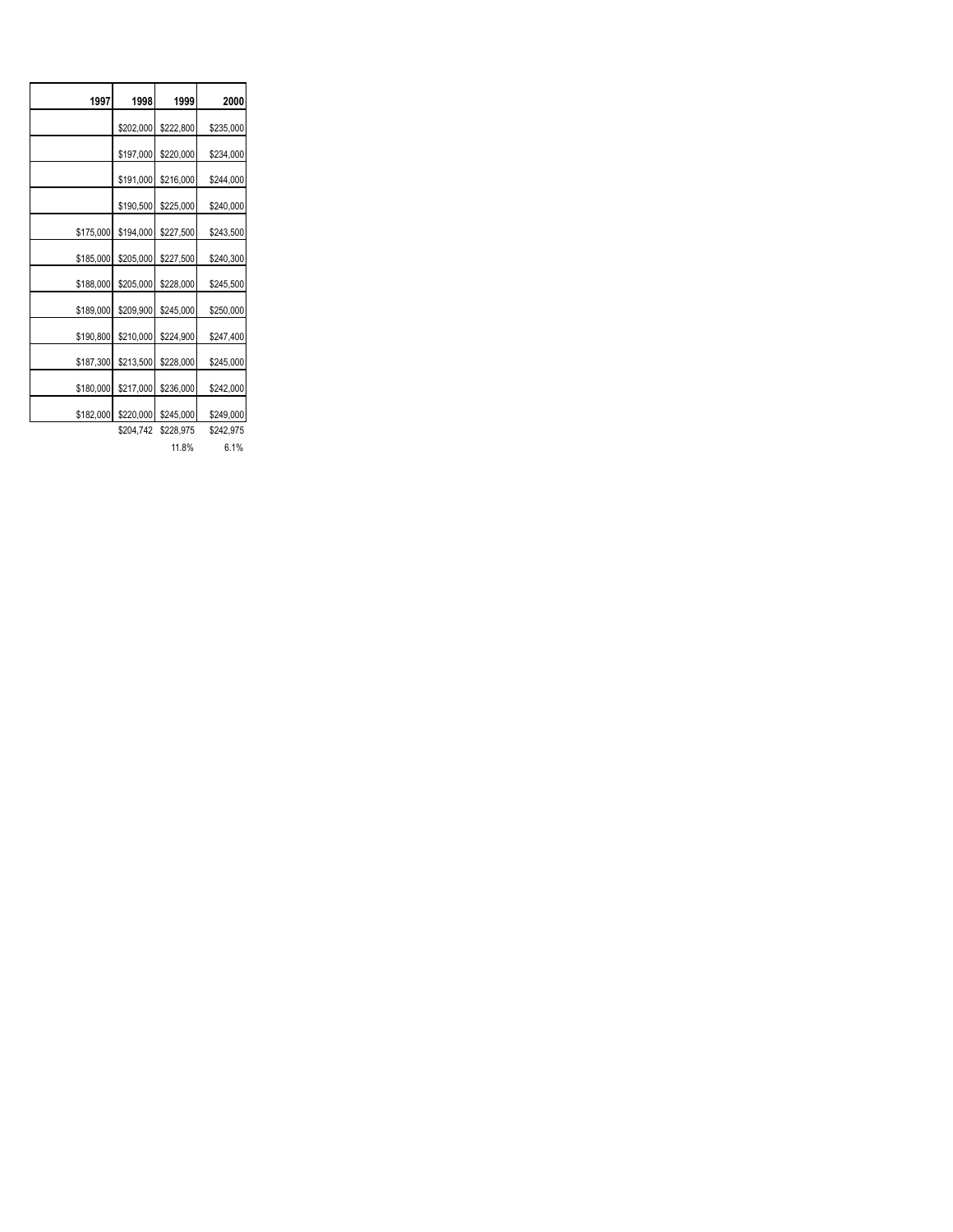| 1997      | 1998      | 1999      | 2000      |
|-----------|-----------|-----------|-----------|
|           | \$202,000 | \$222,800 | \$235,000 |
|           | \$197,000 | \$220,000 | \$234,000 |
|           | \$191,000 | \$216,000 | \$244,000 |
|           | \$190,500 | \$225,000 | \$240,000 |
| \$175,000 | \$194,000 | \$227,500 | \$243,500 |
| \$185,000 | \$205,000 | \$227,500 | \$240,300 |
| \$188,000 | \$205,000 | \$228,000 | \$245,500 |
| \$189,000 | \$209,900 | \$245,000 | \$250,000 |
| \$190,800 | \$210,000 | \$224,900 | \$247,400 |
| \$187,300 | \$213,500 | \$228,000 | \$245,000 |
| \$180,000 | \$217,000 | \$236,000 | \$242,000 |
| \$182,000 | \$220,000 | \$245,000 | \$249,000 |
|           | \$204,742 | \$228,975 | \$242,975 |
|           |           | 11.8%     | 6.1%      |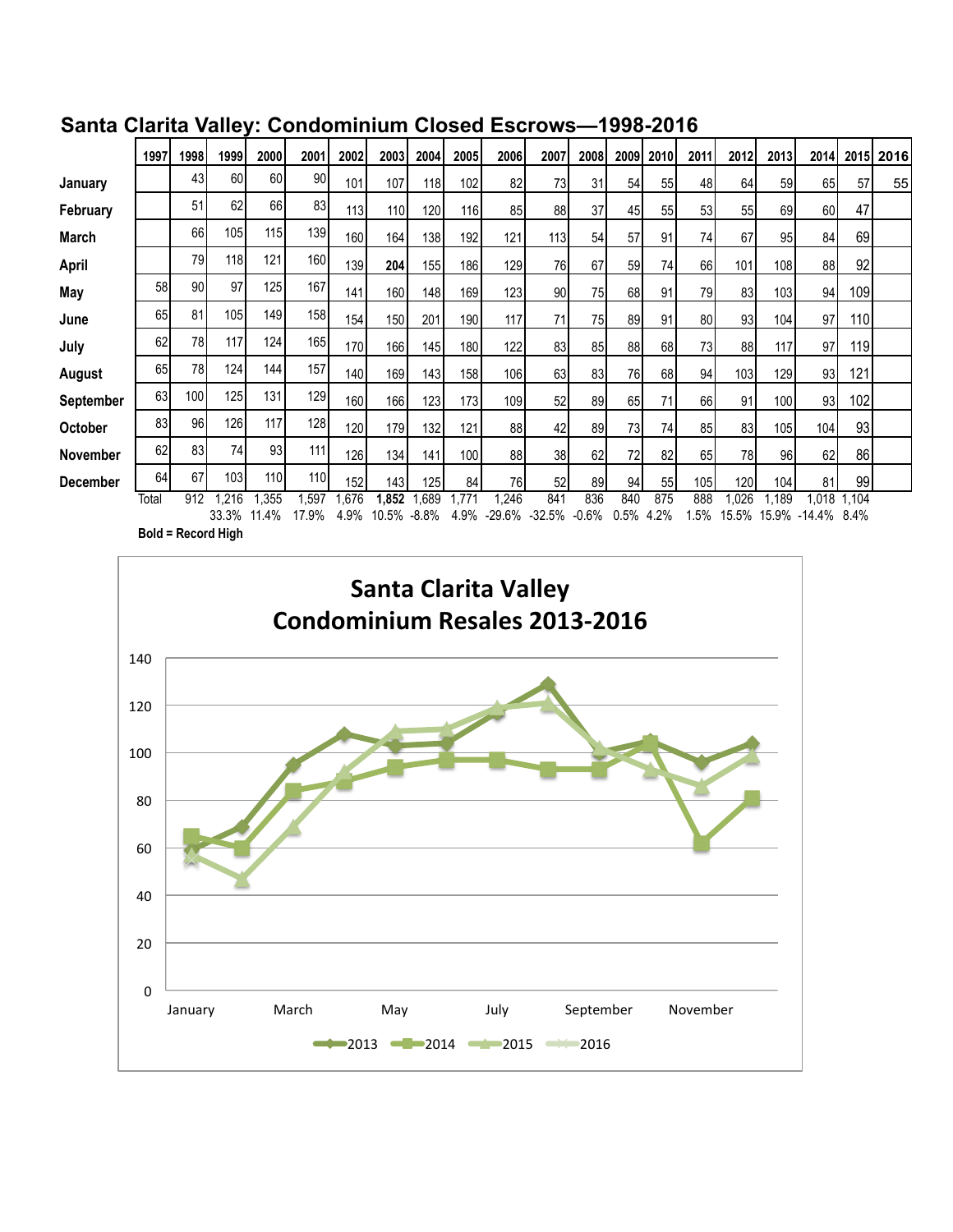|                  | 1997  | 1998             | 1999  | 2000  | 2001             | 2002 | 2003             | 2004  | 2005  | 2006     | 2007     | 2008    | 2009 | 2010 | 2011 | 2012  | 2013  | 2014   | 2015    | 2016 |
|------------------|-------|------------------|-------|-------|------------------|------|------------------|-------|-------|----------|----------|---------|------|------|------|-------|-------|--------|---------|------|
| January          |       | 43               | 60    | 60    | 90               | 101  | 107              | 118   | 102   | 82       | 73       | 31      | 54   | 55   | 48   | 64    | 59    | 65     | 57      | 55   |
| February         |       | 51               | 62    | 66    | 83               | 113  | 110 <sup>1</sup> | 120   | 116   | 85       | 88       | 37      | 45   | 55   | 53   | 55    | 69    | 60     | 47      |      |
| March            |       | 66               | 105   | 115   | 139              | 160  | 164              | 138   | 192   | 121      | 113      | 54      | 57   | 91   | 74   | 67    | 95    | 84     | 69      |      |
| April            |       | 79               | 118   | 121   | 160              | 139  | 204              | 155   | 186   | 129      | 76       | 67      | 59   | 74   | 66   | 101   | 108   | 88     | 92      |      |
| May              | 58    | 90               | 97    | 125   | 167              | 141  | 160              | 148   | 169   | 123      | 90       | 75I     | 68   | 91   | 79   | 83    | 103   | 94     | 109     |      |
| June             | 65    | 81               | 105   | 149   | 158              | 154  | 150              | 201   | 190   | 117      | 71       | 75I     | 89   | 91   | 80   | 93    | 104   | 97     | 110     |      |
| July             | 62    | 78               | 117   | 124   | 165              | 170  | 166              | 145   | 180   | 122      | 83       | 85      | 88   | 68I  | 73I  | 88    | 117   | 97     | 119     |      |
| August           | 65    | 78               | 124   | 144   | 157              | 140  | 169              | 143   | 158   | 106      | 63       | 83      | 76   | 68   | 94   | 103   | 129   | 93     | 121     |      |
| <b>September</b> | 63    | 100 <sup>1</sup> | 125   | 131   | 129              | 160  | 166              | 123   | 173   | 109      | 52       | 89      | 65   | 71   | 66   | 91    | 100   | 93     | 102     |      |
| October          | 83    | 96               | 126   | 117   | 128              | 120  | 179              | 132   | 121   | 88       | 42       | 89      | 73   | 74   | 85   | 83    | 105   | 104    | 93      |      |
| <b>November</b>  | 62    | 83               | 74    | 93    | 111              | 126  | 134              | 141   | 100   | 88       | 38       | 62      | 72   | 82   | 65   | 78    | 96    | 62     | 86      |      |
| <b>December</b>  | 64    | 67               | 103   | 110I  | 110 <sub>l</sub> | 152  | 143              | 125   | 84    | 76       | 52       | 89      | 94   | 55   | 105  | 120   | 104   | 81     | 99      |      |
|                  | Total | 912              | .216  | .355  | .597             | ,676 | 1.852            | .689  | 1.771 | .246     | 841      | 836     | 840  | 875  | 888  | .026  | 1.189 | 1,018  | 1,104   |      |
|                  |       |                  | 33.3% | 11.4% | 17.9%            | 4.9% | 10.5%            | -8.8% | 4.9%  | $-29.6%$ | $-32.5%$ | $-0.6%$ | 0.5% | 4.2% | 1.5% | 15.5% | 15.9% | -14.4% | $8.4\%$ |      |

### **Santa Clarita Valley: Condominium Closed Escrows—1998-2016**

**Bold = Record High**

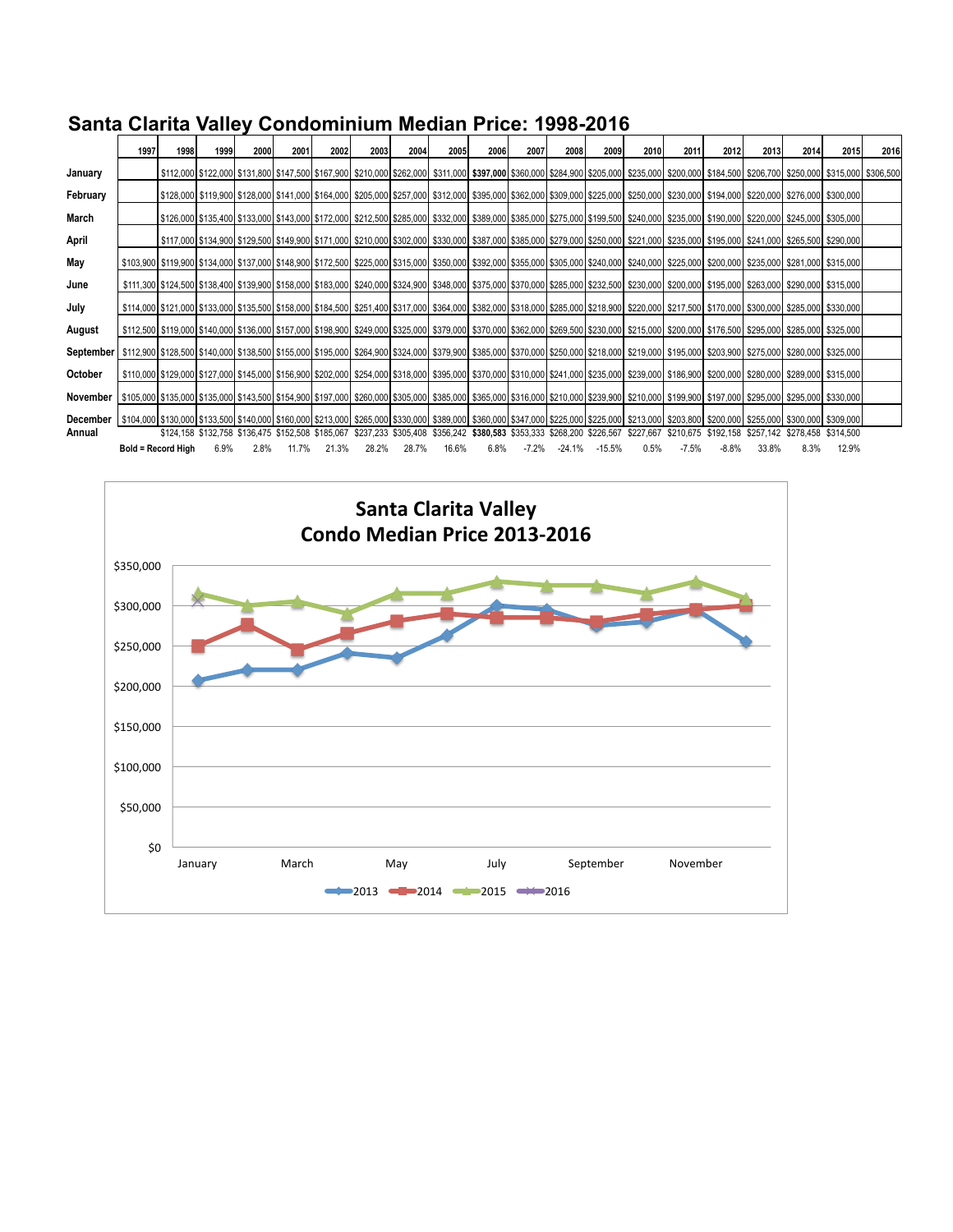|           | 1997                                                                                                                                                                                                                                                    | 1998 | 1999 | 2000 | 2001  | 2002                                              | 2003                                                                  | 2004  | <b>2005</b> | 2006 | 2007 | 2008         | 2009     | 2010      | 2011    | 2012     | 2013                                              | 2014 | <b>2015</b>                                                                                                                                                                                                                                              | 2016 |
|-----------|---------------------------------------------------------------------------------------------------------------------------------------------------------------------------------------------------------------------------------------------------------|------|------|------|-------|---------------------------------------------------|-----------------------------------------------------------------------|-------|-------------|------|------|--------------|----------|-----------|---------|----------|---------------------------------------------------|------|----------------------------------------------------------------------------------------------------------------------------------------------------------------------------------------------------------------------------------------------------------|------|
| January   |                                                                                                                                                                                                                                                         |      |      |      |       |                                                   |                                                                       |       |             |      |      |              |          |           |         |          |                                                   |      | \$112,000 \$122,000 \$131,800 \$147,500 \$167,900 \$210,000 \$262,000 \$311,000 \$397,000 \$360,000 \$284,900 \$205,000 \$235,000 \$200,000 \$184,500 \$206,700 \$250,000 \$2315,000 \$206,700 \$250,000 \$120,700 \$250,000 \$315,000 \$316,000 \$200,7 |      |
| February  |                                                                                                                                                                                                                                                         |      |      |      |       |                                                   |                                                                       |       |             |      |      |              |          |           |         |          |                                                   |      | \$128,000 \$119,900 \$128,000 \$141,000 \$164,000 \$255,000 \$257,000 \$312,000 \$395,000 \$362,000 \$209,000 \$225,000 \$250,000 \$230,000 \$194,000 \$220,000 \$276,000 \$300,000                                                                      |      |
| March     |                                                                                                                                                                                                                                                         |      |      |      |       |                                                   |                                                                       |       |             |      |      |              |          |           |         |          |                                                   |      | \$126,000 \$135,400 \$133,000 \$143,000 \$1472,000 \$212,500 \$285,000 \$332,000 \$389,000 \$385,000 \$275,000 \$199,500 \$240,000 \$235,000 \$190,000 \$220,000 \$220,000 \$220,000 \$220,000 \$220,000 \$220,000 \$220,000 \$220,000 \$220,000 \$220   |      |
| April     |                                                                                                                                                                                                                                                         |      |      |      |       |                                                   |                                                                       |       |             |      |      |              |          |           |         |          |                                                   |      | \$117,000 \$134,900 \$129,500 \$149,900 \$1171,000 \$210,000 \$302,000 \$330,000 \$387,000 \$285,000 \$279,000 \$250,000 \$231,000 \$235,000 \$195,000 \$241,000 \$245,500 \$265,500 \$290,000                                                           |      |
| May       |                                                                                                                                                                                                                                                         |      |      |      |       |                                                   |                                                                       |       |             |      |      |              |          |           |         |          |                                                   |      | \$103,900 \$119,900 \$134,000 \$137,000 \$177,000 \$172,500 \$225,000 \$315,000 \$350,000 \$302,000 \$305,000 \$305,000 \$240,000 \$240,000 \$225,000 \$205,000 \$205,000 \$235,000 \$2315,000 \$2315,000 \$2315,000 \$235,000 \$2281,000 \$235,000 \$20 |      |
| June      |                                                                                                                                                                                                                                                         |      |      |      |       |                                                   |                                                                       |       |             |      |      |              |          |           |         |          |                                                   |      | \$111,300 \$124,500 \$138,400 \$139,900 \$139,000 \$158,000 \$230,000 \$240,000 \$324,900 \$348,000 \$375,000 \$375,000 \$205,000 \$232,500 \$200,000 \$200,000 \$200,000 \$195,000 \$263,000 \$200,000 \$200,000 \$200,000 \$200,000 \$200,000 \$200,00 |      |
| July      |                                                                                                                                                                                                                                                         |      |      |      |       |                                                   |                                                                       |       |             |      |      |              |          |           |         |          |                                                   |      | \$114,000 \$121,000 \$133,000 \$133,000 \$155,000 \$164,500 \$2851,400 \$317,000 \$364,000 \$382,000 \$318,000 \$285,000 \$218,900 \$220,000 \$217,500 \$170,000 \$300,000 \$205,000 \$300,000 \$285,000 \$217,500 \$170,000 \$300,000 \$285,000 \$300,0 |      |
| August    |                                                                                                                                                                                                                                                         |      |      |      |       |                                                   |                                                                       |       |             |      |      |              |          |           |         |          |                                                   |      | \$112,500 \$119,000 \$140,000 \$136,000 \$157,000 \$167,000 \$289,000 \$249,000 \$325,000 \$379,000 \$362,000 \$362,000 \$269,500 \$200,000 \$215,000 \$200,000 \$176,500 \$285,000 \$285,000 \$200,000 \$200,000 \$200,000 \$285,000 \$285,000 \$285,00 |      |
| September | \$112,900 \$128,500 \$140,000 \$138,500 \$155,000 \$195,000 \$264,900 \$324,000 \$379,900 \$355,000 \$270,000 \$250,000 \$218,000 \$219,000 \$195,000 \$203,900 \$275,000 \$280,000 \$325,000 \$325,000 \$203,900 \$275,000 \$280,000 \$280,000 \$280,0 |      |      |      |       |                                                   |                                                                       |       |             |      |      |              |          |           |         |          |                                                   |      |                                                                                                                                                                                                                                                          |      |
| October   |                                                                                                                                                                                                                                                         |      |      |      |       |                                                   |                                                                       |       |             |      |      |              |          |           |         |          |                                                   |      | \$110,000 \$120,000 \$127,000 \$145,000 \$156,900 \$202,000 \$204,000 \$318,000 \$395,000 \$370,000 \$201,000 \$241,000 \$235,000 \$239,000 \$186,900 \$200,000 \$289,000 \$289,000 \$289,000 \$289,000 \$170,000 \$289,000 \$289,000 \$289,000 \$289,00 |      |
| November  |                                                                                                                                                                                                                                                         |      |      |      |       |                                                   |                                                                       |       |             |      |      |              |          |           |         |          |                                                   |      | \$105,000 \$135,000 \$135,000 \$143,500 \$143,500 \$154,900 \$307,000 \$260,000 \$305,000 \$305,000 \$365,000 \$365,000 \$210,000 \$239,900 \$210,000 \$209,900 \$199,900 \$197,000 \$295,000 \$295,000 \$309,900 \$295,000 \$295,000 \$295,000 \$295,00 |      |
| December  | \$104,000 \$130,000 \$133,500 \$140,000 \$160,000 \$213,000 \$265,000 \$330,000 \$389,000 \$347,000 \$225,000 \$225,000 \$203,800 \$203,800 \$200,000 \$255,000 \$255,000 \$200,000 \$255,000 \$209,000 \$205,000 \$200,000 \$200,000 \$200,000 \$200,0 |      |      |      |       |                                                   |                                                                       |       |             |      |      |              |          |           |         |          |                                                   |      |                                                                                                                                                                                                                                                          |      |
| Annual    |                                                                                                                                                                                                                                                         |      |      |      |       | \$124,158 \$132,758 \$136,475 \$152,508 \$185,067 | \$237,233 \$305,408 \$356,242 \$380,583 \$353,333 \$268,200 \$226,567 |       |             |      |      |              |          | \$227.667 |         |          | \$210,675 \$192,158 \$257,142 \$278,458 \$314,500 |      |                                                                                                                                                                                                                                                          |      |
|           | <b>Bold = Record High</b>                                                                                                                                                                                                                               |      | 6.9% | 2.8% | 11.7% | 21.3%                                             | 28.2%                                                                 | 28.7% | 16.6%       | 6.8% |      | -7.2% -24.1% | $-15.5%$ | 0.5%      | $-7.5%$ | $-8.8\%$ | 33.8%                                             | 8.3% | 12.9%                                                                                                                                                                                                                                                    |      |

### **Santa Clarita Valley Condominium Median Price: 1998-2016**

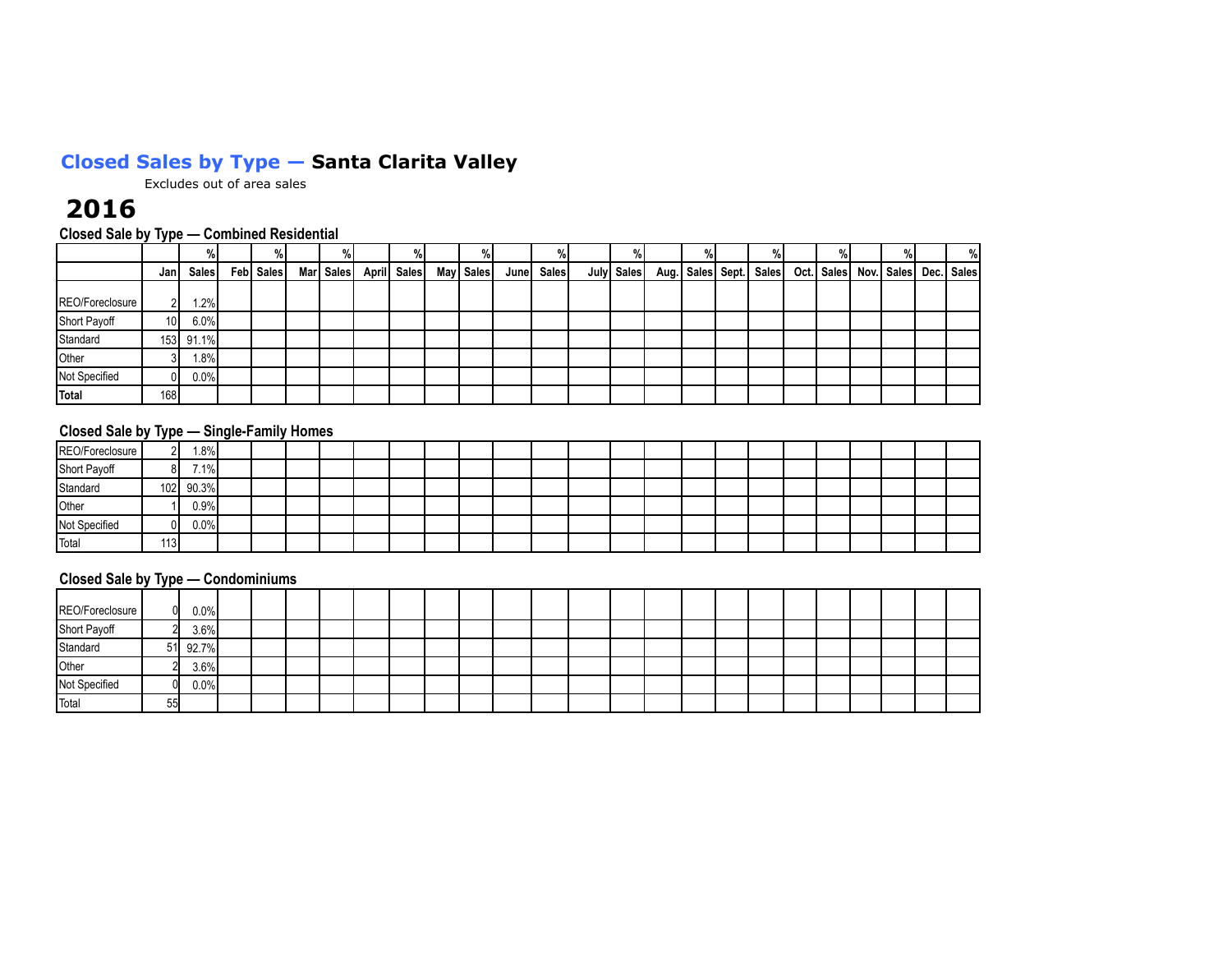### **Closed Sales by Type — Santa Clarita Valley**

Excludes out of area sales

## **2016**

### **Closed Sale by Type — Combined Residential**

|                 | ____            |         |           | %         |             | %         |       |              |            |  |                              |              |  | %                     |
|-----------------|-----------------|---------|-----------|-----------|-------------|-----------|-------|--------------|------------|--|------------------------------|--------------|--|-----------------------|
|                 | Jan             | Sales   | Feb Sales | Mar Sales | April Sales | May Sales | Junel | <b>Sales</b> | July Sales |  | Aug.   Sales   Sept.   Sales | Oct.   Sales |  | Nov. Sales Dec. Sales |
| REO/Foreclosure | ി               | 1.2%    |           |           |             |           |       |              |            |  |                              |              |  |                       |
| Short Payoff    | 10 <sup>1</sup> | 6.0%    |           |           |             |           |       |              |            |  |                              |              |  |                       |
| Standard        | 153             | 91.1%   |           |           |             |           |       |              |            |  |                              |              |  |                       |
| Other           |                 | $1.8\%$ |           |           |             |           |       |              |            |  |                              |              |  |                       |
| Not Specified   | 01              | $0.0\%$ |           |           |             |           |       |              |            |  |                              |              |  |                       |
| Total           | 168             |         |           |           |             |           |       |              |            |  |                              |              |  |                       |

#### **Closed Sale by Type — Single-Family Homes**

|                 | .   |           |  |  |  |  |  |  |  |  |  |  |  |
|-----------------|-----|-----------|--|--|--|--|--|--|--|--|--|--|--|
| REO/Foreclosure |     | $1.8\%$   |  |  |  |  |  |  |  |  |  |  |  |
| Short Payoff    |     | 7.1%      |  |  |  |  |  |  |  |  |  |  |  |
| Standard        |     | 102 90.3% |  |  |  |  |  |  |  |  |  |  |  |
| Other           |     | 0.9%      |  |  |  |  |  |  |  |  |  |  |  |
| Not Specified   |     | 0.0%      |  |  |  |  |  |  |  |  |  |  |  |
| Total           | 113 |           |  |  |  |  |  |  |  |  |  |  |  |

#### **Closed Sale by Type — Condominiums**

|                 | _____ |          |  |  |  |  |  |  |  |  |  |  |  |
|-----------------|-------|----------|--|--|--|--|--|--|--|--|--|--|--|
| REO/Foreclosure |       | $0.0\%$  |  |  |  |  |  |  |  |  |  |  |  |
| Short Payoff    |       | 3.6%     |  |  |  |  |  |  |  |  |  |  |  |
| Standard        |       | 51 92.7% |  |  |  |  |  |  |  |  |  |  |  |
| Other           |       | 3.6%     |  |  |  |  |  |  |  |  |  |  |  |
| Not Specified   |       | $0.0\%$  |  |  |  |  |  |  |  |  |  |  |  |
| Total           | 55    |          |  |  |  |  |  |  |  |  |  |  |  |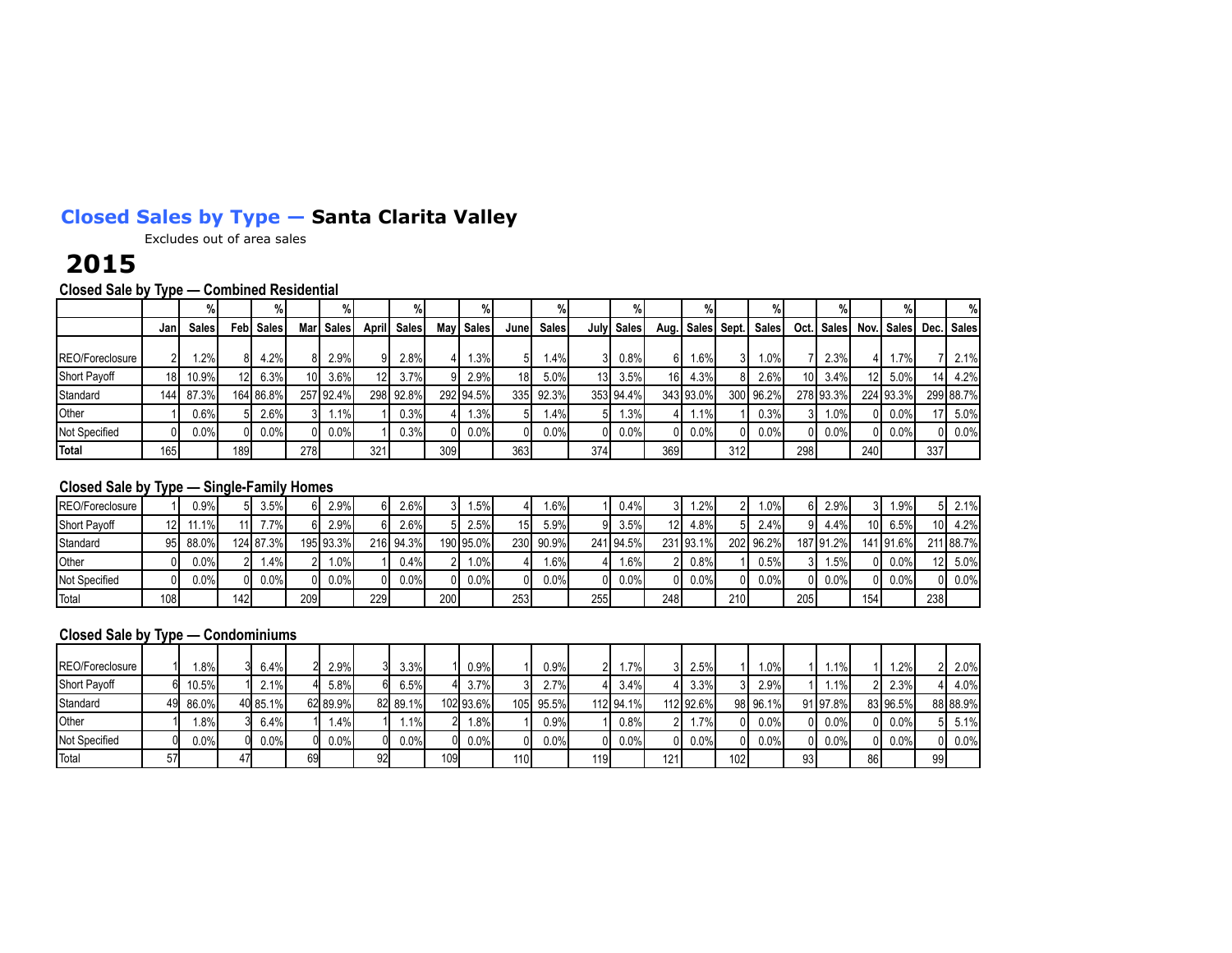## **Closed Sales by Type — Santa Clarita Valley**

Excludes out of area sales

## **2015**

**Closed Sale by Type — Combined Residential**

|                 |                 | %      |                  |                   |                 |              |       |              |      | %            |                 |              |       |              |      | %           |     |                        |                 |              |     |                   |     | %          |
|-----------------|-----------------|--------|------------------|-------------------|-----------------|--------------|-------|--------------|------|--------------|-----------------|--------------|-------|--------------|------|-------------|-----|------------------------|-----------------|--------------|-----|-------------------|-----|------------|
|                 | Jan             | Sales  |                  | <b>Febl Sales</b> | Mar             | <b>Sales</b> | April | <b>Sales</b> | Mayl | <b>Sales</b> | Junel           | <b>Sales</b> | Julyl | <b>Sales</b> | Aug. | Sales Sept. |     | <b>Sales</b>           | Oct.I           | <b>Sales</b> |     | <b>Nov.</b> Sales |     | Dec. Sales |
| REO/Foreclosure | າເ              | $.2\%$ |                  | 4.2%              |                 | 2.9%         |       | 2.8%         |      | .3%          | 51              | 1.4%         |       | 0.8%         | 61   | .6%         |     | 1.0%I                  |                 | 2.3%         | 4   | 1.7%              |     | 2.1%       |
| Short Payoff    | 18 <sup>1</sup> | 10.9%  | 12 <sup>1</sup>  | 6.3%              | 10 <sup>1</sup> | 3.6%         | 12    | 3.7%         |      | 2.9%         | 18 <sup>1</sup> | 5.0%         | 13 I  | 3.5%         | 161  | 4.3%        |     | $2.6\%$                | 10 <sup>1</sup> | 3.4%         | 12  | $5.0\%$           | 141 | 4.2%       |
| Standard        | 144             | 87.3%  |                  | 164 86.8%         |                 | 257 92.4%    |       | 298 92.8%    |      | 292 94.5%    | 335             | 92.3%        |       | 353 94.4%    |      | 343 93.0%   |     | 300 96.2%              |                 | 278 93.3%    |     | 224 93.3%         |     | 299 88.7%  |
| Other           |                 | 0.6%I  |                  | 2.6%              |                 | 1.1%         |       | 0.3%         |      | .3%          | 51              | 1.4%         |       | 1.3%         |      | 1.1%I       |     | $0.3\%$                |                 | $1.0\%$      |     | 0.0%              |     | 5.0%       |
| Not Specified   |                 | 0.0%   | ΩL               | 0.0%              |                 | $0.0\%$      |       | 0.3%         | ΩI   | 0.0%         | 0Ι              | 0.0%         | ΩI    | 0.0%         |      | $0.0\%$     | ΩI  | $0.0\%$ $\blacksquare$ |                 | 0.0%         | ΩI  | $0.0\%$           |     | 0.0%       |
| Total           | 165             |        | 189 <sub>1</sub> |                   | 278             |              | 321   |              | 309  |              | 363             |              | 374   |              | 369  |             | 312 |                        | 298             |              | 240 |                   | 337 |            |

### **Closed Sale by Type — Single-Family Homes**

| REO/Foreclosure     |      | 0.9% I  | 5I  | 3.5%      |       | 2.9%      | 61  | $2.6\%$   | 31  | .5%       |     | 1.6%   |     | $0.4\%$   | 31  | .2%       | າເ  | 1.0%I     |                  | 2.9%      | 31   | .9%       | 51              | $2.1\%$   |
|---------------------|------|---------|-----|-----------|-------|-----------|-----|-----------|-----|-----------|-----|--------|-----|-----------|-----|-----------|-----|-----------|------------------|-----------|------|-----------|-----------------|-----------|
| <b>Short Payoff</b> | 12I  | .1%     |     | $.7\%$    |       | 29%       |     | 2.6%      | 51  | 2.5%      | 151 | 5.9%   | 91  | 3.5%      | 12I | 4.8%      |     | $2.4\%$   | 91               | 4.4%      | 10 I | 6.5%      | 10 <sup>1</sup> | 4.2%      |
| Standard            | 95 I | 88.0%   |     | 124 87.3% |       | 195 93.3% |     | 216 94.3% |     | 190 95.0% | 230 | 90.9%  |     | 241 94.5% |     | 231 93.1% |     | 202 96.2% |                  | 187 91.2% |      | 141 91.6% |                 | 211 88.7% |
| Other               |      | $0.0\%$ | ົ   | 1.4%      | ົາເ   | .0%       |     | $0.4\%$   | ി   | $.0\%$    |     | $.6\%$ |     | $1.6\%$   | ົ   | 0.8%      |     | 0.5%      |                  | .5%       | 01   | 0.0%      | 12 <sup>1</sup> | 5.0%      |
| Not Specified       |      | $0.0\%$ | ΩL  | $0.0\%$   | 0 I   | $0.0\%$   |     | $0.0\%$   | ΩI  | 0.0%      |     | 0.0%   | 01  | $0.0\%$   | ΩI  | $0.0\%$   | 01  | $0.0\%$   | ΩI               | $0.0\%$   | 01   | $0.0\%$   | 0 I             | $0.0\%$   |
| Total               | 108  |         | 142 |           | 209 l |           | 229 |           | 200 |           | 253 |        | 255 |           | 248 |           | 210 |           | 205 <sub>1</sub> |           | 154  |           | 238             |           |

#### **Closed Sale by Type — Condominiums**

| REO/Foreclosure     |    | .8%    | 6.4%     |    | 2.9%     |    | 3.3%     |     | 0.9%      |     | 0.9%  | 21  | $1.7\%$   |     | 2.5%      |     | $1.0\%$  |    | $.1\%$   |    | 1.2%     |    | 2.0%     |
|---------------------|----|--------|----------|----|----------|----|----------|-----|-----------|-----|-------|-----|-----------|-----|-----------|-----|----------|----|----------|----|----------|----|----------|
| <b>Short Payoff</b> |    | 10.5%  | 2.1%     |    | 5.8%     |    | 6.5%     |     | 3.7%      |     | 2.7%  |     | 3.4%      |     | 3.3%      |     | 2.9%     |    | $.1\%$   |    | 2.3%     |    | 4.0%     |
| Standard            | 49 | 86.0%  | 40 85.1% |    | 62 89 9% |    | 82 89.1% |     | 102 93.6% | 105 | 95.5% |     | 112 94.1% |     | 112 92.6% |     | 98 96.1% |    | 91 97.8% |    | 83 96.5% |    | 88 88.9% |
| <b>Other</b>        |    | $.8\%$ | 6.4%     |    | 1.4% l   |    | $1.1\%$  |     | 1.8%      |     | 0.9%  |     | 0.8%      | 21. | $.7\%$    | ΩI  | $0.0\%$  |    | 0.0%     | ΩI | 0.0%     | 51 | 5.1%     |
| Not Specified       |    | 0.0%   | 0.0%     |    | $0.0\%$  |    | $0.0\%$  |     | $0.0\%$   |     | 0.0%  | ΩL  | 0.0%      | ٦ı  | 0.0%      | ΩI  | $0.0\%$  |    | $0.0\%$  | ΩI | 0.0%     | ٥ı | 0.0%     |
| Total               |    |        |          | 69 |          | 92 |          | 109 |           | 110 |       | 119 |           | 121 |           | 102 |          | 93 |          | 86 |          | 99 |          |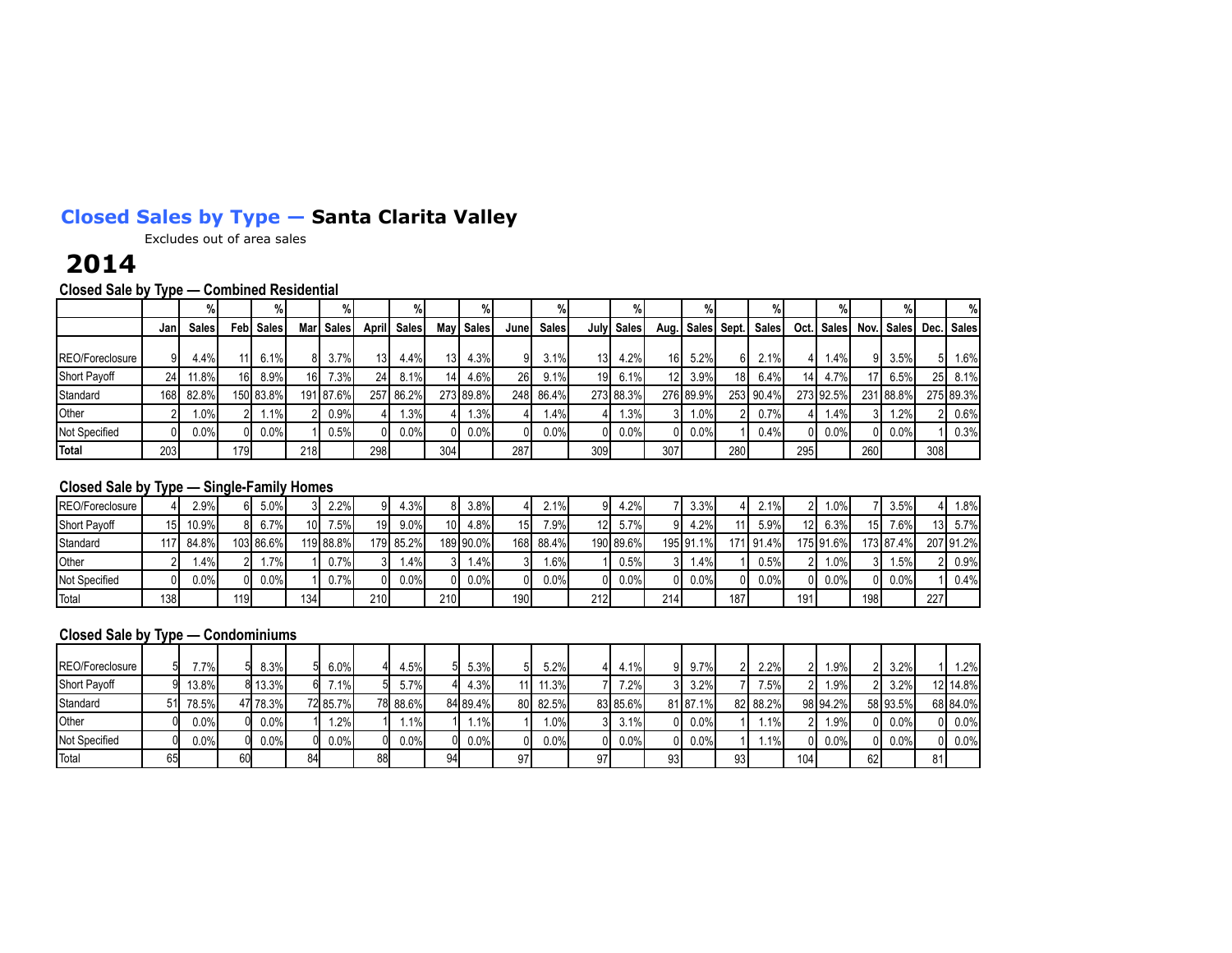## **Closed Sales by Type — Santa Clarita Valley**

Excludes out of area sales

## **2014**

**Closed Sale by Type — Combined Residential**

|                 |      | %            |                 | $\%$              |                 |              |              |           |                 | $\%$      |            |       |      |            |                 | %                    |                 |           |                 |              |                 |                   |      | %            |
|-----------------|------|--------------|-----------------|-------------------|-----------------|--------------|--------------|-----------|-----------------|-----------|------------|-------|------|------------|-----------------|----------------------|-----------------|-----------|-----------------|--------------|-----------------|-------------------|------|--------------|
|                 | Janl | <b>Sales</b> |                 | <b>Febl Sales</b> | Marl            | <b>Sales</b> | <b>April</b> | Sales     |                 | May Sales | Junel      | Sales |      | July Sales |                 | Aug.   Sales   Sept. |                 | Sales     |                 | Oct.   Sales |                 | <b>Nov.</b> Sales |      | Dec.   Sales |
| REO/Foreclosure |      | 4.4%         |                 | 6.1%              |                 | $3.7\%$      | 13           | 4.4%I     | 13 <sup>1</sup> | 4.3%      | 9١         | 3.1%  | 13 I | 4.2%       | 16 I            | 5.2%                 | 61              | 2.1%      |                 | 1.4%         | 91              | 3.5%              | 51   | $1.6\%$      |
| Short Payoff    | 24   | $11.8\%$     | 16 <sup>1</sup> | 8.9%              | 16 <sup>1</sup> | 73%          | 24           | 8.1%      | 141             | 4.6%      | <b>261</b> | 9.1%  | 19 I | 6.1%       | 12 <sub>l</sub> | 3.9%                 | 18 <sup>1</sup> | 6.4%      | 14 <sup>1</sup> | 4.7%         | 17 <sup>1</sup> | 6.5%              | 25 I | 8.1%         |
| Standard        | 168I | 82.8%        |                 | 150 83.8%         |                 | 191 87.6%    |              | 257 86.2% |                 | 273 89.8% | 248        | 86.4% |      | 273 88.3%  |                 | 276 89.9%            |                 | 253 90.4% |                 | 273 92.5%    |                 | 231 88.8%         |      | 275 89.3%    |
| Other           |      | $1.0\%$      |                 | 1.1%              |                 | 0.9%         |              | 1.3%      |                 | .3%       |            | 1.4%  |      | 1.3%       | 31              | $1.0\%$              |                 | 0.7%      |                 | 1.4%         | 3I              | $1.2\%$           |      | $0.6\%$      |
| Not Specified   |      | $0.0\%$      |                 | 0.0%              |                 | 0.5%         |              | 0.0%      | ΩI              | 0.0%      |            | 0.0%  | 01   | 0.0%       | ΩI              | 0.0%                 |                 | $0.4\%$   |                 | $0$   0.0%   | 01              | 0.0%              |      | 0.3%         |
| Total           | 203  |              | 179             |                   | 218             |              | 298          |           | 304             |           | 287        |       | 309  |            | 307             |                      | 280             |           | 295             |              | <b>260</b>      |                   | 308  |              |

### **Closed Sale by Type — Single-Family Homes**

| REO/Foreclosure     |                 | 2.9%I   | 61  | 5.0%      |     | 2.2%      | 91              | 4.3%      | 81              | 3.8%      |                 | 2.1%    | ۵I  | 4.2%      |     | 3.3%      |     | $2.1\%$   | 21        | l.0%I     |     | 3.5%      |                 | $.8\%$    |
|---------------------|-----------------|---------|-----|-----------|-----|-----------|-----------------|-----------|-----------------|-----------|-----------------|---------|-----|-----------|-----|-----------|-----|-----------|-----------|-----------|-----|-----------|-----------------|-----------|
| <b>Short Payoff</b> | 15 <sub>l</sub> | 10.9%   | 81  | 6.7%      | 10I | 7.5%      | 19 <sup>1</sup> | $9.0\%$   | 10 <sup>1</sup> | 4.8%      | 15 <sub>l</sub> | 7.9%    | 12I | 5.7%      | ۵ı  | 4.2%I     |     | 5.9%      | 12 I      | $6.3\%$   | 15I | 7.6%      | 13 <sup>1</sup> | $5.7\%$   |
| Standard            |                 | 84.8%   |     | 103 86.6% |     | 119 88.8% |                 | 179 85.2% |                 | 189 90.0% | 168             | 88.4%   |     | 190 89.6% |     | 195 91.1% |     | 171 91.4% |           | 175 91.6% |     | 173 87.4% |                 | 207 91.2% |
| Other               |                 | $.4\%$  | າ∎  | $.7\%$    |     | $0.7\%$   | 31              | 1.4%I     | 31              | 1.4%      |                 | $.6\%$  |     | 0.5%      |     | ا%4       |     | 0.5%I     | <u>າ∣</u> | .0%       | 3I  | . 5%      | ור              | 0.9%      |
| Not Specified       |                 | $0.0\%$ | ΩL  | 0.0%      |     | 0.7%I     | 01              | 0.0%      | ΩI              | $0.0\%$   | ΩI              | $0.0\%$ | ΩL  | 0.0%      |     | $0.0\%$   | ΩI  | 0.0%I     | 0 I       | $0.0\%$   | 0I. | 0.0%      |                 | $0.4\%$   |
| Total               | 138             |         | 119 |           | 134 |           | 210             |           | 210             |           | 190             |         | 212 |           | 214 |           | 187 |           | 191       |           | 198 |           | 227             |           |

### **Closed Sale by Type — Condominiums**

| REO/Foreclosure     |     | 77%     |    | 8.3%     |    | $6.0\%$  |    | 4.5%I    |    | 5.3%     |    | 5.2%     |          | 4.1%     | ດເ | $9.7\%$  |    | 2.2%     |     | .9%      | ി  | 3.2%     |    | 1.2%     |
|---------------------|-----|---------|----|----------|----|----------|----|----------|----|----------|----|----------|----------|----------|----|----------|----|----------|-----|----------|----|----------|----|----------|
| <b>Short Payoff</b> |     | 13.8%   |    | 8 13.3%  |    | $.1\%$   |    | 5.7%     |    | 4.3%     |    | 11.3%    |          | 7.2%     |    | 3.2%     |    | 7.5%     |     | $.9\%$   |    | 3.2%     |    | 12 14 8% |
| Standard            | 511 | 78.5%   |    | 47 78.3% |    | 72 85.7% |    | 78 88.6% |    | 84 89.4% |    | 80 82.5% |          | 83 85.6% |    | 81 87.1% |    | 82 88.2% |     | 98 94.2% |    | 58 93.5% |    | 68 84.0% |
| <b>Other</b>        |     | 0.0%    |    | 0.0%     |    | .2%      |    | $1.1\%$  |    | $1.1\%$  |    | $.0\%$   | 3I       | 3.1%     |    | 0.0%     |    | 1.1%     |     | .9%      | ΩI | 0.0%     | 01 | 0.0%     |
| Not Specified       |     | $0.0\%$ |    | 0.0%     |    | $0.0\%$  |    | $0.0\%$  |    | $0.0\%$  |    | $0.0\%$  | $\Omega$ | 0.0%     |    | 0.0%     |    | $.1\%$   |     | $0.0\%$  | 01 | 0.0%     | n١ | 0.0%     |
| Total               | 65  |         | 60 |          | 84 |          | 88 |          | 94 |          | 97 |          | 97'      |          | 93 |          | 93 |          | 104 |          | 62 |          |    |          |